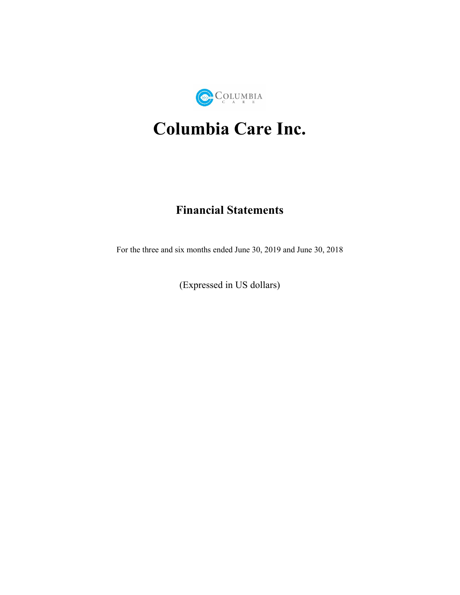

# **Columbia Care Inc.**

# **Financial Statements**

For the three and six months ended June 30, 2019 and June 30, 2018

(Expressed in US dollars)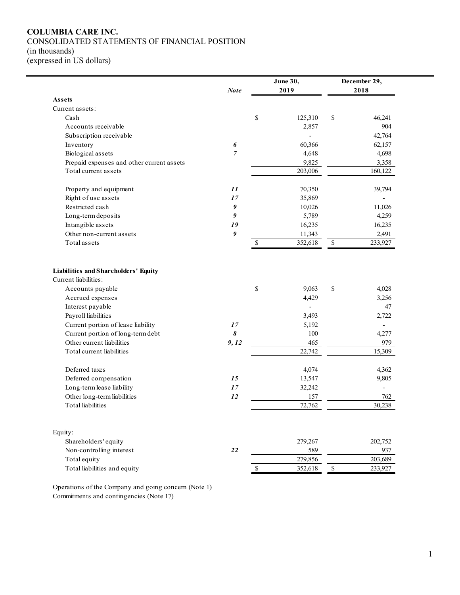#### **COLUMBIA CARE INC.** CONSOLIDATED STATEMENTS OF FINANCIAL POSITION (in thousands)

(expressed in US dollars)

|                                                                                                                                                                                                  | <b>Note</b>     |              | <b>June 30,</b><br>2019                         |              | December 29,<br>2018                           |
|--------------------------------------------------------------------------------------------------------------------------------------------------------------------------------------------------|-----------------|--------------|-------------------------------------------------|--------------|------------------------------------------------|
| <b>Assets</b>                                                                                                                                                                                    |                 |              |                                                 |              |                                                |
| Current assets:                                                                                                                                                                                  |                 |              |                                                 |              |                                                |
| Cash                                                                                                                                                                                             |                 | \$           | 125,310                                         | \$           | 46,241                                         |
| Accounts receivable                                                                                                                                                                              |                 |              | 2,857                                           |              | 904                                            |
| Subscription receivable                                                                                                                                                                          |                 |              |                                                 |              | 42,764                                         |
| Inventory                                                                                                                                                                                        | 6               |              | 60,366                                          |              | 62,157                                         |
| Biological assets                                                                                                                                                                                | $\overline{7}$  |              | 4,648                                           |              | 4,698                                          |
| Prepaid expenses and other current assets                                                                                                                                                        |                 |              | 9,825                                           |              | 3,358                                          |
| Total current assets                                                                                                                                                                             |                 |              | 203,006                                         |              | 160,122                                        |
| Property and equipment                                                                                                                                                                           | 11              |              | 70,350                                          |              | 39,794                                         |
| Right of use assets                                                                                                                                                                              | 17              |              | 35,869                                          |              |                                                |
| Restricted cash                                                                                                                                                                                  | 9               |              | 10,026                                          |              | 11,026                                         |
| Long-term deposits                                                                                                                                                                               | 9               |              | 5,789                                           |              | 4,259                                          |
| Intangible assets                                                                                                                                                                                | 19              |              | 16,235                                          |              | 16,235                                         |
| Other non-current assets                                                                                                                                                                         | 9               |              | 11,343                                          |              | 2,491                                          |
| Total assets                                                                                                                                                                                     |                 | $\mathbb{S}$ | 352,618                                         | $\mathbb S$  | 233,927                                        |
| Accrued expenses<br>Interest payable<br>Payroll liabilities<br>Current portion of lease liability<br>Current portion of long-term debt<br>Other current liabilities<br>Total current liabilities | 17<br>8<br>9,12 |              | 4,429<br>3,493<br>5,192<br>100<br>465<br>22,742 |              | 3,256<br>47<br>2,722<br>4,277<br>979<br>15,309 |
|                                                                                                                                                                                                  |                 |              |                                                 |              |                                                |
| Deferred taxes                                                                                                                                                                                   |                 |              | 4,074                                           |              | 4,362                                          |
| Deferred compensation                                                                                                                                                                            | 15              |              | 13,547                                          |              | 9,805                                          |
| Long-term lease liability                                                                                                                                                                        | 17              |              | 32,242                                          |              |                                                |
| Other long-term liabilities                                                                                                                                                                      | 12              |              | 157                                             |              | 762                                            |
| <b>Total</b> liabilities                                                                                                                                                                         |                 |              | 72,762                                          |              | 30,238                                         |
|                                                                                                                                                                                                  |                 |              |                                                 |              |                                                |
| Equity:                                                                                                                                                                                          |                 |              |                                                 |              |                                                |
| Shareholders' equity                                                                                                                                                                             |                 |              | 279,267                                         |              | 202,752                                        |
| Non-controlling interest                                                                                                                                                                         | 22              |              | 589                                             |              | 937                                            |
| Total equity                                                                                                                                                                                     |                 |              | 279,856                                         |              | 203,689                                        |
| Total liabilities and equity                                                                                                                                                                     |                 | \$           | 352,618                                         | $\mathbb{S}$ | 233,927                                        |

Operations of the Company and going concern (Note 1) Commitments and contingencies (Note 17)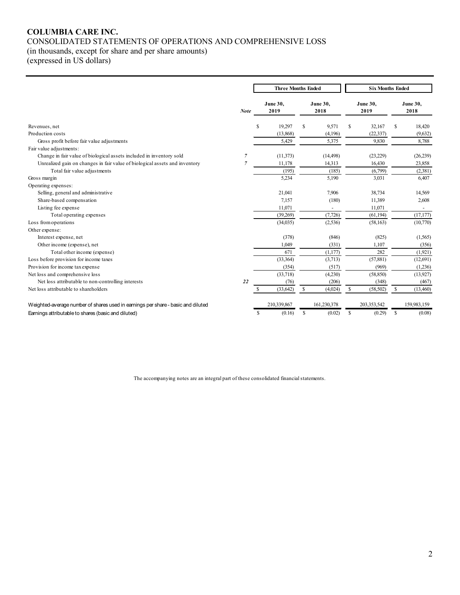# **COLUMBIA CARE INC.** CONSOLIDATED STATEMENTS OF OPERATIONS AND COMPREHENSIVE LOSS

(in thousands, except for share and per share amounts)

(expressed in US dollars)

|                                                                                  |             |    | <b>Three Months Ended</b> |    |                          |               | <b>Six Months Ended</b> |              |                         |
|----------------------------------------------------------------------------------|-------------|----|---------------------------|----|--------------------------|---------------|-------------------------|--------------|-------------------------|
|                                                                                  | <b>Note</b> |    | June 30,<br>2019          |    | June 30,<br>2018         |               | <b>June 30,</b><br>2019 |              | <b>June 30,</b><br>2018 |
| Revenues, net                                                                    |             | S  | 19,297                    | S  | 9,571                    | <sup>\$</sup> | 32,167                  | S            | 18,420                  |
| Production costs                                                                 |             |    | (13,868)                  |    | (4,196)                  |               | (22, 337)               |              | (9,632)                 |
| Gross profit before fair value adjustments                                       |             |    | 5,429                     |    | 5,375                    |               | 9,830                   |              | 8,788                   |
| Fair value adjustments:                                                          |             |    |                           |    |                          |               |                         |              |                         |
| Change in fair value of biological assets included in inventory sold             | 7           |    | (11, 373)                 |    | (14, 498)                |               | (23,229)                |              | (26,239)                |
| Unrealized gain on changes in fair value of biological assets and inventory      | 7           |    | 11,178                    |    | 14,313                   |               | 16,430                  |              | 23,858                  |
| Total fair value adjustments                                                     |             |    | (195)                     |    | (185)                    |               | (6,799)                 |              | (2,381)                 |
| Gross margin                                                                     |             |    | 5,234                     |    | 5,190                    |               | 3,031                   |              | 6,407                   |
| Operating expenses:                                                              |             |    |                           |    |                          |               |                         |              |                         |
| Selling, general and administrative                                              |             |    | 21,041                    |    | 7,906                    |               | 38,734                  |              | 14,569                  |
| Share-based compensation                                                         |             |    | 7,157                     |    | (180)                    |               | 11,389                  |              | 2,608                   |
| Listing fee expense                                                              |             |    | 11,071                    |    | $\overline{\phantom{a}}$ |               | 11,071                  |              | $\sim$                  |
| Total operating expenses                                                         |             |    | (39,269)                  |    | (7, 726)                 |               | (61, 194)               |              | (17, 177)               |
| Loss from operations                                                             |             |    | (34,035)                  |    | (2, 536)                 |               | (58, 163)               |              | (10,770)                |
| Other expense:                                                                   |             |    |                           |    |                          |               |                         |              |                         |
| Interest expense, net                                                            |             |    | (378)                     |    | (846)                    |               | (825)                   |              | (1, 565)                |
| Other income (expense), net                                                      |             |    | 1,049                     |    | (331)                    |               | 1,107                   |              | (356)                   |
| Total other income (expense)                                                     |             |    | 671                       |    | (1,177)                  |               | 282                     |              | (1,921)                 |
| Loss before provision for income taxes                                           |             |    | (33,364)                  |    | (3,713)                  |               | (57, 881)               |              | (12,691)                |
| Provision for income tax expense                                                 |             |    | (354)                     |    | (517)                    |               | (969)                   |              | (1,236)                 |
| Net loss and comprehensive loss                                                  |             |    | (33,718)                  |    | (4,230)                  |               | (58, 850)               |              | (13, 927)               |
| Net loss attributable to non-controlling interests                               | 22          |    | (76)                      |    | (206)                    |               | (348)                   |              | (467)                   |
| Net loss attributable to shareholders                                            |             |    | (33, 642)                 | S  | (4,024)                  | \$            | (58, 502)               | S            | (13,460)                |
| Weighted-average number of shares used in earnings per share - basic and diluted |             |    | 210,339,867               |    | 161.230.378              |               | 203,353,542             |              | 159,983,159             |
| Earnings attributable to shares (basic and diluted)                              |             | \$ | (0.16)                    | \$ | (0.02)                   | \$            | (0.29)                  | $\mathbb{S}$ | (0.08)                  |

The accompanying notes are an integral part of these consolidated financial statements.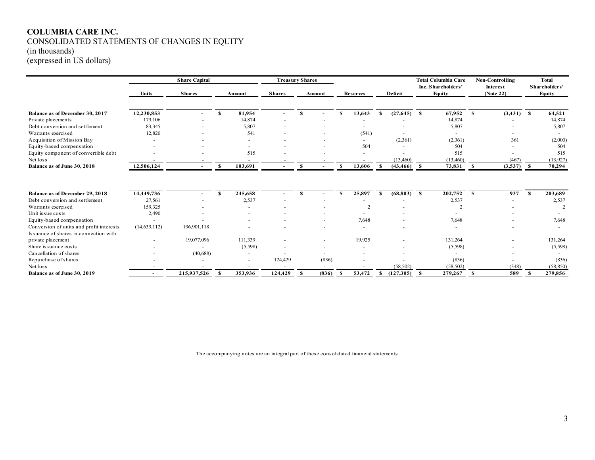# **COLUMBIA CARE INC.** CONSOLIDATED STATEMENTS OF CHANGES IN EQUITY

(in thousands)

(expressed in US dollars)

|                                          |                | <b>Share Capital</b> |    |               |               | <b>Treasury Shares</b> |        |    |                 |    |           |      | <b>Total Columbia Care</b><br>Inc. Shareholders' |      | <b>Non-Controlling</b><br><b>Interest</b> |     | <b>Total</b><br>Shareholders' |
|------------------------------------------|----------------|----------------------|----|---------------|---------------|------------------------|--------|----|-----------------|----|-----------|------|--------------------------------------------------|------|-------------------------------------------|-----|-------------------------------|
|                                          | <b>Units</b>   | <b>Shares</b>        |    | <b>Amount</b> | <b>Shares</b> |                        | Amount |    | <b>Reserves</b> |    | Deficit   |      | Equity                                           |      | (Note 22)                                 |     | <b>Equity</b>                 |
|                                          |                |                      |    |               |               |                        |        |    |                 |    |           |      |                                                  |      |                                           |     |                               |
| Balance as of December 30, 2017          | 12,230,853     |                      | S  | 81,954        |               | S                      |        | S. | 13,643          | S  | (27, 645) | S.   | 67,952                                           | S    | $(3,431)$ \$                              |     | 64,521                        |
| Private placements                       | 179,106        |                      |    | 14,874        |               |                        |        |    |                 |    |           |      | 14,874                                           |      |                                           |     | 14,874                        |
| Debt conversion and settlement           | 83,345         |                      |    | 5,807         |               |                        |        |    |                 |    |           |      | 5,807                                            |      |                                           |     | 5,807                         |
| Warrants exercised                       | 12,820         |                      |    | 541           |               |                        |        |    | (541)           |    |           |      |                                                  |      |                                           |     |                               |
| Acquisition of Mission Bay               |                |                      |    |               |               |                        |        |    |                 |    | (2,361)   |      | (2,361)                                          |      | 361                                       |     | (2,000)                       |
| Equity-based compensation                |                |                      |    |               |               |                        |        |    | 504             |    |           |      | 504                                              |      |                                           |     | 504                           |
| Equity component of convertible debt     |                |                      |    | 515           |               |                        |        |    |                 |    |           |      | 515                                              |      |                                           |     | 515                           |
| Net loss                                 |                |                      |    |               |               |                        |        |    |                 |    | (13, 460) |      | (13,460)                                         |      | (467)                                     |     | (13,927)                      |
| Balance as of June 30, 2018              | 12,506,124     | $\sim$               | S  | 103,691       |               |                        |        |    | 13,606          |    | (43, 466) | - \$ | 73,831                                           | - \$ | (3,537)                                   | - S | 70,294                        |
|                                          |                |                      |    |               |               |                        |        |    |                 |    |           |      |                                                  |      |                                           |     |                               |
| Balance as of December 29, 2018          | 14,449,736     |                      | -8 | 245,658       |               | S                      |        | S. | 25,897          | -8 | (68, 803) | -S   | 202,752                                          | -S   | 937                                       | S.  | 203,689                       |
| Debt conversion and settlement           | 27,561         |                      |    | 2,537         |               |                        |        |    |                 |    |           |      | 2,537                                            |      |                                           |     | 2,537                         |
| Warrants exercised                       | 159,325        |                      |    |               |               |                        |        |    | $\overline{2}$  |    |           |      |                                                  |      |                                           |     | $\overline{2}$                |
| Unit issue costs                         | 2,490          |                      |    |               |               |                        |        |    |                 |    |           |      |                                                  |      |                                           |     |                               |
| Equity-based compensation                |                |                      |    |               |               |                        |        |    | 7,648           |    |           |      | 7,648                                            |      |                                           |     | 7,648                         |
| Conversion of units and profit interests | (14, 639, 112) | 196,901,118          |    |               |               |                        |        |    |                 |    |           |      |                                                  |      |                                           |     |                               |
| Issuance of shares in connection with    |                |                      |    |               |               |                        |        |    |                 |    |           |      |                                                  |      |                                           |     |                               |
| private placement                        |                | 19,077,096           |    | 111,339       |               |                        |        |    | 19,925          |    |           |      | 131,264                                          |      |                                           |     | 131,264                       |
| Share issuance costs                     |                |                      |    | (5,598)       |               |                        |        |    |                 |    |           |      | (5,598)                                          |      |                                           |     | (5,598)                       |
| Cancellation of shares                   |                | (40, 688)            |    |               |               |                        |        |    |                 |    |           |      |                                                  |      |                                           |     |                               |
| Repurchase of shares                     |                |                      |    | ÷             | 124,429       |                        | (836)  |    |                 |    |           |      | (836)                                            |      |                                           |     | (836)                         |
| Net loss                                 |                |                      |    |               |               |                        |        |    |                 |    | (58, 502) |      | (58, 502)                                        |      | (348)                                     |     | (58, 850)                     |
| Balance as of June 30, 2019              |                | 215,937,526          | -S | 353,936       | 124,429       | S.                     | (836)  | -S | 53.472          | S. | (127,305) | -S   | 279,267                                          | -S   | 589                                       | S   | 279.856                       |

The accompanying notes are an integral part of these consolidated financial statements.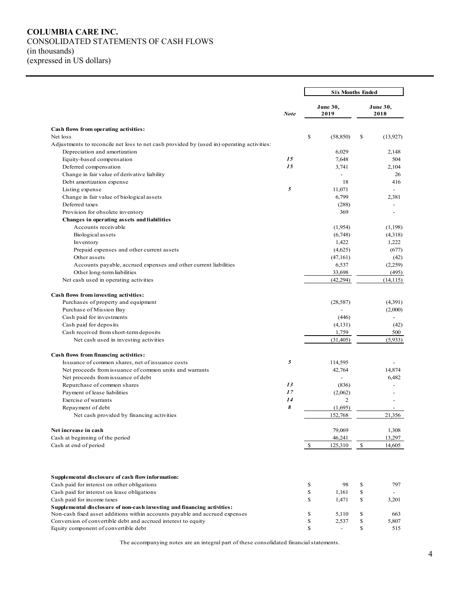#### **COLUMBIA CARE INC.** CONSOLIDATED STATEMENTS OF CASH FLOWS (in thousands) (expressed in US dollars)

|                                                                                           |             | <b>Six Months Ended</b> |                          |              |                          |  |
|-------------------------------------------------------------------------------------------|-------------|-------------------------|--------------------------|--------------|--------------------------|--|
|                                                                                           | <b>Note</b> |                         | June 30,<br>2019         |              | June 30,<br>2018         |  |
| Cash flows from operating activities:                                                     |             |                         |                          |              |                          |  |
| Net loss                                                                                  |             | \$                      | (58, 850)                | \$           | (13, 927)                |  |
| Adjustments to reconcile net loss to net cash provided by (used in) operating activities: |             |                         |                          |              |                          |  |
| Depreciation and amortization                                                             |             |                         | 6,029                    |              | 2,148                    |  |
| Equity-based compensation                                                                 | 15          |                         | 7,648                    |              | 504                      |  |
| Deferred compensation                                                                     | 15          |                         | 3,741                    |              | 2,104                    |  |
| Change in fair value of derivative liability                                              |             |                         | $\overline{\phantom{a}}$ |              | 26                       |  |
| Debt amortization expense                                                                 |             |                         | 18                       |              | 416                      |  |
| Listing expense                                                                           | 5           |                         | 11,071                   |              |                          |  |
| Change in fair value of biological assets                                                 |             |                         | 6,799                    |              | 2,381                    |  |
| Deferred taxes                                                                            |             |                         | (288)                    |              |                          |  |
| Provision for obsolete inventory                                                          |             |                         | 369                      |              |                          |  |
| Changes in operating assets and liabilities                                               |             |                         |                          |              |                          |  |
| Accounts receivable                                                                       |             |                         | (1,954)                  |              | (1,198)                  |  |
| Biological assets                                                                         |             |                         | (6,748)                  |              | (4,318)                  |  |
| Inventory                                                                                 |             |                         | 1,422                    |              | 1,222                    |  |
| Prepaid expenses and other current assets                                                 |             |                         | (4,625)                  |              | (677)                    |  |
| Other assets                                                                              |             |                         | (47,161)                 |              | (42)                     |  |
| Accounts payable, accrued expenses and other current liabilities                          |             |                         | 6,537                    |              | (2,259)                  |  |
| Other long-term liabilities                                                               |             |                         | 33,698                   |              | (495)                    |  |
| Net cash used in operating activities                                                     |             |                         | (42, 294)                |              | (14, 115)                |  |
| Cash flows from investing activities:                                                     |             |                         |                          |              |                          |  |
| Purchases of property and equipment                                                       |             |                         | (28, 587)                |              | (4,391)                  |  |
| Purchase of Mission Bay                                                                   |             |                         |                          |              | (2,000)                  |  |
| Cash paid for investments                                                                 |             |                         | (446)                    |              | $\overline{\phantom{a}}$ |  |
| Cash paid for deposits                                                                    |             |                         | (4,131)                  |              | (42)                     |  |
| Cash received from short-term deposits                                                    |             |                         | 1,759                    |              | 500                      |  |
| Net cash used in investing activities                                                     |             |                         | (31, 405)                |              | (5,933)                  |  |
| Cash flows from financing activities:                                                     |             |                         |                          |              |                          |  |
| Issuance of common shares, net of issuance costs                                          | 5           |                         | 114,595                  |              |                          |  |
| Net proceeds from issuance of common units and warrants                                   |             |                         | 42,764                   |              | 14,874                   |  |
| Net proceeds from issuance of debt                                                        |             |                         |                          |              | 6,482                    |  |
| Repurchase of common shares                                                               | 13          |                         | (836)                    |              |                          |  |
| Payment of lease liabilities                                                              | 17          |                         | (2,062)                  |              |                          |  |
| Exercise of warrants                                                                      | 14          |                         | $\overline{c}$           |              |                          |  |
| Repayment of debt                                                                         | 8           |                         | (1,695)                  |              |                          |  |
| Net cash provided by financing activities                                                 |             |                         | 152,768                  |              | 21,356                   |  |
| Net increase in cash                                                                      |             |                         | 79,069                   |              | 1,308                    |  |
| Cash at beginning of the period                                                           |             |                         | 46,241                   |              | 13,297                   |  |
| Cash at end of period                                                                     |             | \$                      | 125,310                  | $\mathbb{S}$ | 14,605                   |  |
| Supplemental disclosure of cash flow information:                                         |             |                         |                          |              |                          |  |
| Cash paid for interest on other obligations                                               |             | \$                      | 98                       | \$           | 797                      |  |
| Cash paid for interest on lease obligations                                               |             | \$                      | 1,161                    | \$           |                          |  |
| Cash paid for income taxes                                                                |             | \$                      | 1,471                    | \$           | 3,201                    |  |
| Supplemental disclosure of non-cash investing and financing activities:                   |             |                         |                          |              |                          |  |
| Non-cash fixed asset additions within accounts payable and accrued expenses               |             | \$                      | 5,110                    | \$           | 663                      |  |
| Conversion of convertible debt and accrued interest to equity                             |             | \$                      | 2,537                    | \$           | 5,807                    |  |
| Equity component of convertible debt                                                      |             | \$                      | $\overline{\phantom{a}}$ | \$           | 515                      |  |
|                                                                                           |             |                         |                          |              |                          |  |

The accompanying notes are an integral part of these consolidated financial statements.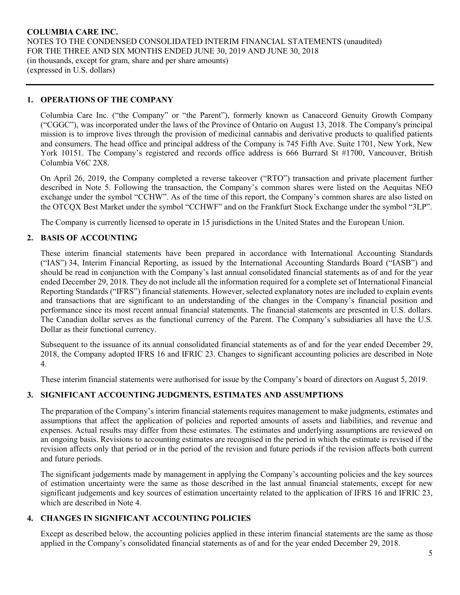# **1. OPERATIONS OF THE COMPANY**

Columbia Care Inc. ("the Company" or "the Parent"), formerly known as Canaccord Genuity Growth Company ("CGGC"), was incorporated under the laws of the Province of Ontario on August 13, 2018. The Company's principal mission is to improve lives through the provision of medicinal cannabis and derivative products to qualified patients and consumers. The head office and principal address of the Company is 745 Fifth Ave. Suite 1701, New York, New York 10151. The Company's registered and records office address is 666 Burrard St #1700, Vancouver, British Columbia V6C 2X8.

On April 26, 2019, the Company completed a reverse takeover ("RTO") transaction and private placement further described in Note 5. Following the transaction, the Company's common shares were listed on the Aequitas NEO exchange under the symbol "CCHW". As of the time of this report, the Company's common shares are also listed on the OTCQX Best Market under the symbol "CCHWF" and on the Frankfurt Stock Exchange under the symbol "3LP".

The Company is currently licensed to operate in 15 jurisdictions in the United States and the European Union.

# **2. BASIS OF ACCOUNTING**

These interim financial statements have been prepared in accordance with International Accounting Standards ("IAS") 34, Interim Financial Reporting, as issued by the International Accounting Standards Board ("IASB") and should be read in conjunction with the Company's last annual consolidated financial statements as of and for the year ended December 29, 2018. They do not include all the information required for a complete set of International Financial Reporting Standards ("IFRS") financial statements. However, selected explanatory notes are included to explain events and transactions that are significant to an understanding of the changes in the Company's financial position and performance since its most recent annual financial statements. The financial statements are presented in U.S. dollars. The Canadian dollar serves as the functional currency of the Parent. The Company's subsidiaries all have the U.S. Dollar as their functional currency.

Subsequent to the issuance of its annual consolidated financial statements as of and for the year ended December 29, 2018, the Company adopted IFRS 16 and IFRIC 23. Changes to significant accounting policies are described in Note 4.

These interim financial statements were authorised for issue by the Company's board of directors on August 5, 2019.

# **3. SIGNIFICANT ACCOUNTING JUDGMENTS, ESTIMATES AND ASSUMPTIONS**

The preparation of the Company's interim financial statements requires management to make judgments, estimates and assumptions that affect the application of policies and reported amounts of assets and liabilities, and revenue and expenses. Actual results may differ from these estimates. The estimates and underlying assumptions are reviewed on an ongoing basis. Revisions to accounting estimates are recognised in the period in which the estimate is revised if the revision affects only that period or in the period of the revision and future periods if the revision affects both current and future periods.

The significant judgements made by management in applying the Company's accounting policies and the key sources of estimation uncertainty were the same as those described in the last annual financial statements, except for new significant judgements and key sources of estimation uncertainty related to the application of IFRS 16 and IFRIC 23, which are described in Note 4.

#### **4. CHANGES IN SIGNIFICANT ACCOUNTING POLICIES**

Except as described below, the accounting policies applied in these interim financial statements are the same as those applied in the Company's consolidated financial statements as of and for the year ended December 29, 2018.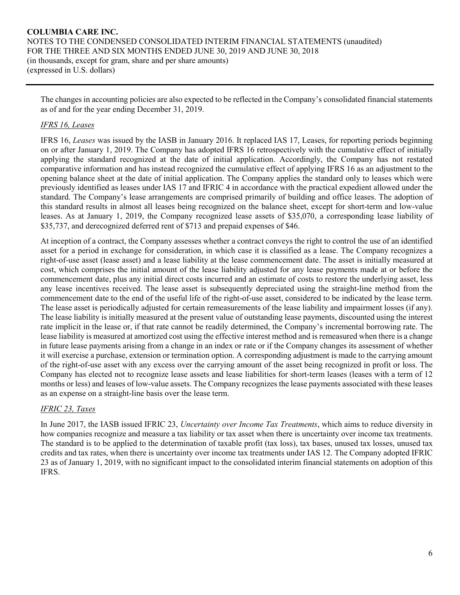The changes in accounting policies are also expected to be reflected in the Company's consolidated financial statements as of and for the year ending December 31, 2019.

# *IFRS 16, Leases*

IFRS 16, *Leases* was issued by the IASB in January 2016. It replaced IAS 17, Leases, for reporting periods beginning on or after January 1, 2019. The Company has adopted IFRS 16 retrospectively with the cumulative effect of initially applying the standard recognized at the date of initial application. Accordingly, the Company has not restated comparative information and has instead recognized the cumulative effect of applying IFRS 16 as an adjustment to the opening balance sheet at the date of initial application. The Company applies the standard only to leases which were previously identified as leases under IAS 17 and IFRIC 4 in accordance with the practical expedient allowed under the standard. The Company's lease arrangements are comprised primarily of building and office leases. The adoption of this standard results in almost all leases being recognized on the balance sheet, except for short-term and low-value leases. As at January 1, 2019, the Company recognized lease assets of \$35,070, a corresponding lease liability of \$35,737, and derecognized deferred rent of \$713 and prepaid expenses of \$46.

At inception of a contract, the Company assesses whether a contract conveys the right to control the use of an identified asset for a period in exchange for consideration, in which case it is classified as a lease. The Company recognizes a right-of-use asset (lease asset) and a lease liability at the lease commencement date. The asset is initially measured at cost, which comprises the initial amount of the lease liability adjusted for any lease payments made at or before the commencement date, plus any initial direct costs incurred and an estimate of costs to restore the underlying asset, less any lease incentives received. The lease asset is subsequently depreciated using the straight-line method from the commencement date to the end of the useful life of the right-of-use asset, considered to be indicated by the lease term. The lease asset is periodically adjusted for certain remeasurements of the lease liability and impairment losses (if any). The lease liability is initially measured at the present value of outstanding lease payments, discounted using the interest rate implicit in the lease or, if that rate cannot be readily determined, the Company's incremental borrowing rate. The lease liability is measured at amortized cost using the effective interest method and is remeasured when there is a change in future lease payments arising from a change in an index or rate or if the Company changes its assessment of whether it will exercise a purchase, extension or termination option. A corresponding adjustment is made to the carrying amount of the right-of-use asset with any excess over the carrying amount of the asset being recognized in profit or loss. The Company has elected not to recognize lease assets and lease liabilities for short-term leases (leases with a term of 12 months or less) and leases of low-value assets. The Company recognizes the lease payments associated with these leases as an expense on a straight-line basis over the lease term.

# *IFRIC 23, Taxes*

In June 2017, the IASB issued IFRIC 23, *Uncertainty over Income Tax Treatments*, which aims to reduce diversity in how companies recognize and measure a tax liability or tax asset when there is uncertainty over income tax treatments. The standard is to be applied to the determination of taxable profit (tax loss), tax bases, unused tax losses, unused tax credits and tax rates, when there is uncertainty over income tax treatments under IAS 12. The Company adopted IFRIC 23 as of January 1, 2019, with no significant impact to the consolidated interim financial statements on adoption of this IFRS.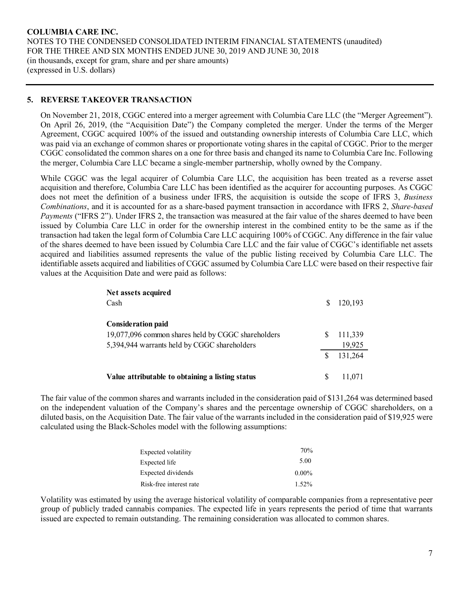# **5. REVERSE TAKEOVER TRANSACTION**

On November 21, 2018, CGGC entered into a merger agreement with Columbia Care LLC (the "Merger Agreement"). On April 26, 2019, (the "Acquisition Date") the Company completed the merger. Under the terms of the Merger Agreement, CGGC acquired 100% of the issued and outstanding ownership interests of Columbia Care LLC, which was paid via an exchange of common shares or proportionate voting shares in the capital of CGGC. Prior to the merger CGGC consolidated the common shares on a one for three basis and changed its name to Columbia Care Inc. Following the merger, Columbia Care LLC became a single-member partnership, wholly owned by the Company.

While CGGC was the legal acquirer of Columbia Care LLC, the acquisition has been treated as a reverse asset acquisition and therefore, Columbia Care LLC has been identified as the acquirer for accounting purposes. As CGGC does not meet the definition of a business under IFRS, the acquisition is outside the scope of IFRS 3, *Business Combinations*, and it is accounted for as a share-based payment transaction in accordance with IFRS 2, *Share-based Payments* ("IFRS 2"). Under IFRS 2, the transaction was measured at the fair value of the shares deemed to have been issued by Columbia Care LLC in order for the ownership interest in the combined entity to be the same as if the transaction had taken the legal form of Columbia Care LLC acquiring 100% of CGGC. Any difference in the fair value of the shares deemed to have been issued by Columbia Care LLC and the fair value of CGGC's identifiable net assets acquired and liabilities assumed represents the value of the public listing received by Columbia Care LLC. The identifiable assets acquired and liabilities of CGGC assumed by Columbia Care LLC were based on their respective fair values at the Acquisition Date and were paid as follows:

| Net assets acquired<br>Cash                                                                                                     | S | 120,193           |
|---------------------------------------------------------------------------------------------------------------------------------|---|-------------------|
| <b>Consideration paid</b><br>19,077,096 common shares held by CGGC shareholders<br>5,394,944 warrants held by CGGC shareholders |   | 111,339<br>19,925 |
|                                                                                                                                 |   | 131,264           |
| Value attributable to obtaining a listing status                                                                                | S | 11.071            |

The fair value of the common shares and warrants included in the consideration paid of \$131,264 was determined based on the independent valuation of the Company's shares and the percentage ownership of CGGC shareholders, on a diluted basis, on the Acquisition Date. The fair value of the warrants included in the consideration paid of \$19,925 were calculated using the Black-Scholes model with the following assumptions:

| Expected volatility     | 70%      |
|-------------------------|----------|
| Expected life           | 5.00     |
| Expected dividends      | $0.00\%$ |
| Risk-free interest rate | 1.52%    |

Volatility was estimated by using the average historical volatility of comparable companies from a representative peer group of publicly traded cannabis companies. The expected life in years represents the period of time that warrants issued are expected to remain outstanding. The remaining consideration was allocated to common shares.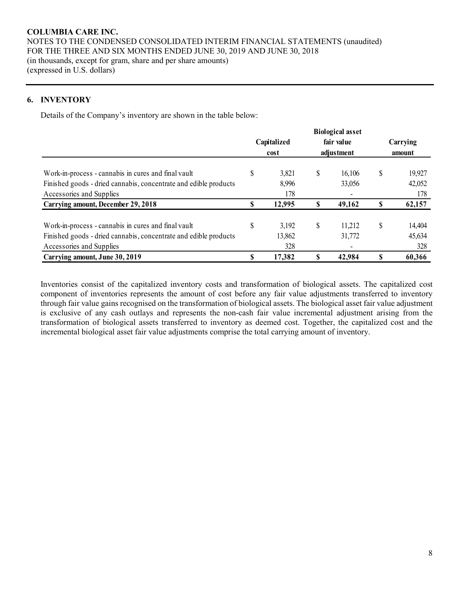# **6. INVENTORY**

Details of the Company's inventory are shown in the table below:

|                                                                  |              |    | <b>Biological asset</b> |    |          |
|------------------------------------------------------------------|--------------|----|-------------------------|----|----------|
|                                                                  | Capitalized  |    | fair value              |    | Carrying |
|                                                                  | cost         |    | adjustment              |    | amount   |
| Work-in-process - cannabis in cures and final vault              | \$<br>3,821  | \$ | 16,106                  | S  | 19,927   |
| Finished goods - dried cannabis, concentrate and edible products | 8,996        |    | 33,056                  |    | 42,052   |
| Accessories and Supplies                                         | 178          |    | ۰                       |    | 178      |
| Carrying amount, December 29, 2018                               | \$<br>12,995 |    | 49,162                  |    | 62,157   |
| Work-in-process - cannabis in cures and final vault              | \$<br>3.192  | S  | 11.212                  | \$ | 14,404   |
| Finished goods - dried cannabis, concentrate and edible products | 13,862       |    | 31,772                  |    | 45,634   |
| Accessories and Supplies                                         | 328          |    | ٠                       |    | 328      |
| Carrying amount, June 30, 2019                                   | \$<br>17,382 |    | 42,984                  |    | 60,366   |

Inventories consist of the capitalized inventory costs and transformation of biological assets. The capitalized cost component of inventories represents the amount of cost before any fair value adjustments transferred to inventory through fair value gains recognised on the transformation of biological assets. The biological asset fair value adjustment is exclusive of any cash outlays and represents the non-cash fair value incremental adjustment arising from the transformation of biological assets transferred to inventory as deemed cost. Together, the capitalized cost and the incremental biological asset fair value adjustments comprise the total carrying amount of inventory.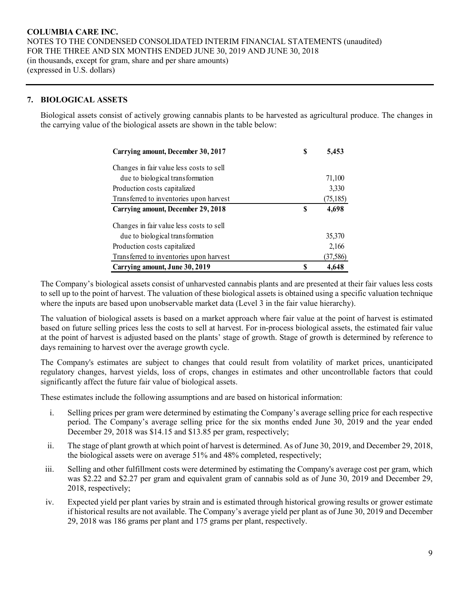# **7. BIOLOGICAL ASSETS**

Biological assets consist of actively growing cannabis plants to be harvested as agricultural produce. The changes in the carrying value of the biological assets are shown in the table below:

| Carrying amount, December 30, 2017        | S | 5,453     |
|-------------------------------------------|---|-----------|
| Changes in fair value less costs to sell  |   |           |
| due to biological transformation          |   | 71,100    |
| Production costs capitalized              |   | 3,330     |
| Transferred to inventories upon harvest   |   | (75, 185) |
| <b>Carrying amount, December 29, 2018</b> | S | 4,698     |
| Changes in fair value less costs to sell  |   |           |
| due to biological transformation          |   | 35,370    |
| Production costs capitalized              |   | 2,166     |
| Transferred to inventories upon harvest   |   | (37,586)  |
| Carrying amount, June 30, 2019            |   | 4,648     |

The Company's biological assets consist of unharvested cannabis plants and are presented at their fair values less costs to sell up to the point of harvest. The valuation of these biological assets is obtained using a specific valuation technique where the inputs are based upon unobservable market data (Level 3 in the fair value hierarchy).

The valuation of biological assets is based on a market approach where fair value at the point of harvest is estimated based on future selling prices less the costs to sell at harvest. For in-process biological assets, the estimated fair value at the point of harvest is adjusted based on the plants' stage of growth. Stage of growth is determined by reference to days remaining to harvest over the average growth cycle.

The Company's estimates are subject to changes that could result from volatility of market prices, unanticipated regulatory changes, harvest yields, loss of crops, changes in estimates and other uncontrollable factors that could significantly affect the future fair value of biological assets.

These estimates include the following assumptions and are based on historical information:

- i. Selling prices per gram were determined by estimating the Company's average selling price for each respective period. The Company's average selling price for the six months ended June 30, 2019 and the year ended December 29, 2018 was \$14.15 and \$13.85 per gram, respectively;
- ii. The stage of plant growth at which point of harvest is determined. As of June 30, 2019, and December 29, 2018, the biological assets were on average 51% and 48% completed, respectively;
- iii. Selling and other fulfillment costs were determined by estimating the Company's average cost per gram, which was \$2.22 and \$2.27 per gram and equivalent gram of cannabis sold as of June 30, 2019 and December 29, 2018, respectively;
- iv. Expected yield per plant varies by strain and is estimated through historical growing results or grower estimate if historical results are not available. The Company's average yield per plant as of June 30, 2019 and December 29, 2018 was 186 grams per plant and 175 grams per plant, respectively.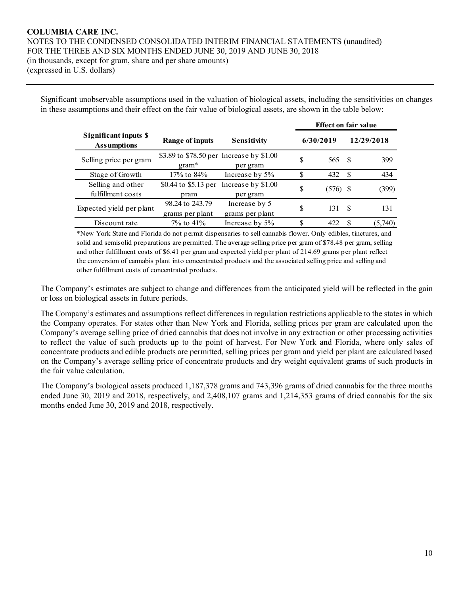Significant unobservable assumptions used in the valuation of biological assets, including the sensitivities on changes in these assumptions and their effect on the fair value of biological assets, are shown in the table below:

|                                             |                                                     |                                  |           | <b>Effect on fair value</b> |      |            |
|---------------------------------------------|-----------------------------------------------------|----------------------------------|-----------|-----------------------------|------|------------|
| Significant inputs \$<br><b>Assumptions</b> | Range of inputs                                     | <b>Sensitivity</b>               | 6/30/2019 |                             |      | 12/29/2018 |
| Selling price per gram                      | \$3.89 to \$78.50 per Increase by \$1.00<br>$gram*$ | per gram                         | S         | 565                         | - \$ | 399        |
| Stage of Growth                             | 17% to 84%                                          | Increase by 5%                   | S         | 432                         | -S   | 434        |
| Selling and other<br>fulfillment costs      | \$0.44 to \$5.13 per<br>pram                        | Increase by \$1.00<br>per gram   | \$        | (576)                       | -S   | (399)      |
| Expected yield per plant                    | 98.24 to 243.79<br>grams per plant                  | Increase by 5<br>grams per plant | S         | 131                         | -8   | 131        |
| Discount rate                               | $7\%$ to 41\%                                       | Increase by 5%                   | S         | 422                         | -S   | (5,740)    |

\*New York State and Florida do not permit dispensaries to sell cannabis flower. Only edibles, tinctures, and solid and semisolid preparations are permitted. The average selling price per gram of \$78.48 per gram, selling and other fulfillment costs of \$6.41 per gram and expected yield per plant of 214.69 grams per plant reflect the conversion of cannabis plant into concentrated products and the associated selling price and selling and other fulfillment costs of concentrated products.

The Company's estimates are subject to change and differences from the anticipated yield will be reflected in the gain or loss on biological assets in future periods.

The Company's estimates and assumptions reflect differences in regulation restrictions applicable to the states in which the Company operates. For states other than New York and Florida, selling prices per gram are calculated upon the Company's average selling price of dried cannabis that does not involve in any extraction or other processing activities to reflect the value of such products up to the point of harvest. For New York and Florida, where only sales of concentrate products and edible products are permitted, selling prices per gram and yield per plant are calculated based on the Company's average selling price of concentrate products and dry weight equivalent grams of such products in the fair value calculation.

The Company's biological assets produced 1,187,378 grams and 743,396 grams of dried cannabis for the three months ended June 30, 2019 and 2018, respectively, and 2,408,107 grams and 1,214,353 grams of dried cannabis for the six months ended June 30, 2019 and 2018, respectively.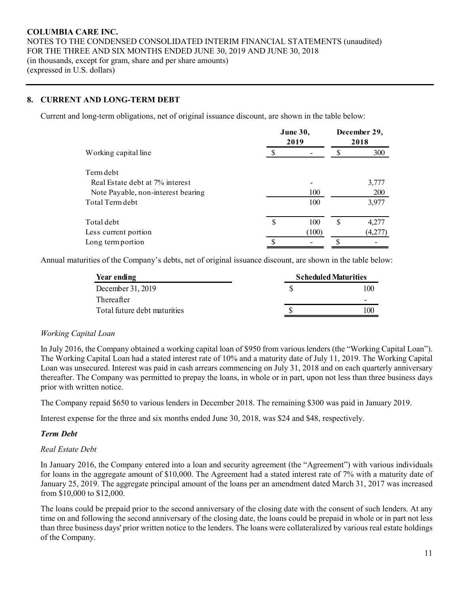# **8. CURRENT AND LONG-TERM DEBT**

Current and long-term obligations, net of original issuance discount, are shown in the table below:

|                                    | <b>June 30,</b><br>2019 | December 29,<br>2018 |         |  |
|------------------------------------|-------------------------|----------------------|---------|--|
| Working capital line               |                         |                      | 300     |  |
| Term debt                          |                         |                      |         |  |
| Real Estate debt at 7% interest    |                         |                      | 3,777   |  |
| Note Payable, non-interest bearing | 100                     |                      | 200     |  |
| Total Term debt                    | 100                     |                      | 3,977   |  |
| Total debt                         | \$<br>100               | \$                   | 4,277   |  |
| Less current portion               | (100)                   |                      | (4,277) |  |
| Long term portion                  |                         |                      |         |  |

Annual maturities of the Company's debts, net of original issuance discount, are shown in the table below:

| Year ending                  | <b>Scheduled Maturities</b> |
|------------------------------|-----------------------------|
| December 31, 2019            | 100                         |
| Thereafter                   |                             |
| Total future debt maturities |                             |
|                              |                             |

# *Working Capital Loan*

In July 2016, the Company obtained a working capital loan of \$950 from various lenders (the "Working Capital Loan"). The Working Capital Loan had a stated interest rate of 10% and a maturity date of July 11, 2019. The Working Capital Loan was unsecured. Interest was paid in cash arrears commencing on July 31, 2018 and on each quarterly anniversary thereafter. The Company was permitted to prepay the loans, in whole or in part, upon not less than three business days prior with written notice.

The Company repaid \$650 to various lenders in December 2018. The remaining \$300 was paid in January 2019.

Interest expense for the three and six months ended June 30, 2018, was \$24 and \$48, respectively.

# *Term Debt*

# *Real Estate Debt*

In January 2016, the Company entered into a loan and security agreement (the "Agreement") with various individuals for loans in the aggregate amount of \$10,000. The Agreement had a stated interest rate of 7% with a maturity date of January 25, 2019. The aggregate principal amount of the loans per an amendment dated March 31, 2017 was increased from \$10,000 to \$12,000.

The loans could be prepaid prior to the second anniversary of the closing date with the consent of such lenders. At any time on and following the second anniversary of the closing date, the loans could be prepaid in whole or in part not less than three business days' prior written notice to the lenders. The loans were collateralized by various real estate holdings of the Company.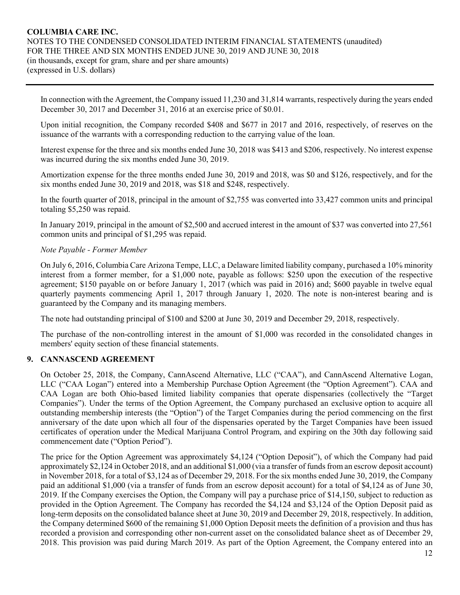In connection with the Agreement, the Company issued 11,230 and 31,814 warrants, respectively during the years ended December 30, 2017 and December 31, 2016 at an exercise price of \$0.01.

Upon initial recognition, the Company recorded \$408 and \$677 in 2017 and 2016, respectively, of reserves on the issuance of the warrants with a corresponding reduction to the carrying value of the loan.

Interest expense for the three and six months ended June 30, 2018 was \$413 and \$206, respectively. No interest expense was incurred during the six months ended June 30, 2019.

Amortization expense for the three months ended June 30, 2019 and 2018, was \$0 and \$126, respectively, and for the six months ended June 30, 2019 and 2018, was \$18 and \$248, respectively.

In the fourth quarter of 2018, principal in the amount of \$2,755 was converted into 33,427 common units and principal totaling \$5,250 was repaid.

In January 2019, principal in the amount of \$2,500 and accrued interest in the amount of \$37 was converted into 27,561 common units and principal of \$1,295 was repaid.

#### *Note Payable - Former Member*

On July 6, 2016, Columbia Care Arizona Tempe, LLC, a Delaware limited liability company, purchased a 10% minority interest from a former member, for a \$1,000 note, payable as follows: \$250 upon the execution of the respective agreement; \$150 payable on or before January 1, 2017 (which was paid in 2016) and; \$600 payable in twelve equal quarterly payments commencing April 1, 2017 through January 1, 2020. The note is non-interest bearing and is guaranteed by the Company and its managing members.

The note had outstanding principal of \$100 and \$200 at June 30, 2019 and December 29, 2018, respectively.

The purchase of the non-controlling interest in the amount of \$1,000 was recorded in the consolidated changes in members' equity section of these financial statements.

# **9. CANNASCEND AGREEMENT**

On October 25, 2018, the Company, CannAscend Alternative, LLC ("CAA"), and CannAscend Alternative Logan, LLC ("CAA Logan") entered into a Membership Purchase Option Agreement (the "Option Agreement"). CAA and CAA Logan are both Ohio-based limited liability companies that operate dispensaries (collectively the "Target Companies"). Under the terms of the Option Agreement, the Company purchased an exclusive option to acquire all outstanding membership interests (the "Option") of the Target Companies during the period commencing on the first anniversary of the date upon which all four of the dispensaries operated by the Target Companies have been issued certificates of operation under the Medical Marijuana Control Program, and expiring on the 30th day following said commencement date ("Option Period").

The price for the Option Agreement was approximately \$4,124 ("Option Deposit"), of which the Company had paid approximately \$2,124 in October 2018, and an additional \$1,000 (via a transfer of funds from an escrow deposit account) in November 2018, for a total of \$3,124 as of December 29, 2018. For the six months ended June 30, 2019, the Company paid an additional \$1,000 (via a transfer of funds from an escrow deposit account) for a total of \$4,124 as of June 30, 2019. If the Company exercises the Option, the Company will pay a purchase price of \$14,150, subject to reduction as provided in the Option Agreement. The Company has recorded the \$4,124 and \$3,124 of the Option Deposit paid as long-term deposits on the consolidated balance sheet at June 30, 2019 and December 29, 2018, respectively. In addition, the Company determined \$600 of the remaining \$1,000 Option Deposit meets the definition of a provision and thus has recorded a provision and corresponding other non-current asset on the consolidated balance sheet as of December 29, 2018. This provision was paid during March 2019. As part of the Option Agreement, the Company entered into an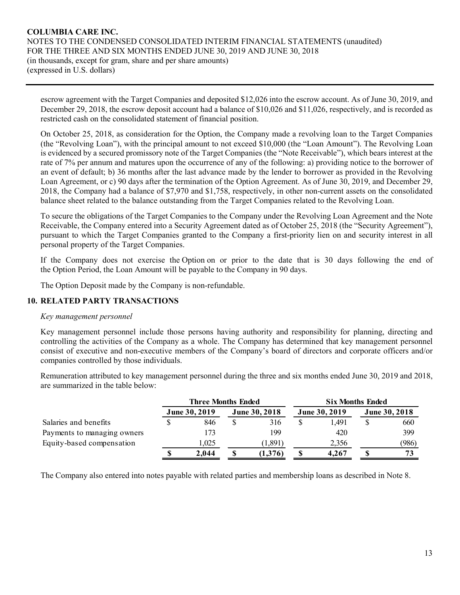escrow agreement with the Target Companies and deposited \$12,026 into the escrow account. As of June 30, 2019, and December 29, 2018, the escrow deposit account had a balance of \$10,026 and \$11,026, respectively, and is recorded as restricted cash on the consolidated statement of financial position.

On October 25, 2018, as consideration for the Option, the Company made a revolving loan to the Target Companies (the "Revolving Loan"), with the principal amount to not exceed \$10,000 (the "Loan Amount"). The Revolving Loan is evidenced by a secured promissory note of the Target Companies (the "Note Receivable"), which bears interest at the rate of 7% per annum and matures upon the occurrence of any of the following: a) providing notice to the borrower of an event of default; b) 36 months after the last advance made by the lender to borrower as provided in the Revolving Loan Agreement, or c) 90 days after the termination of the Option Agreement. As of June 30, 2019, and December 29, 2018, the Company had a balance of \$7,970 and \$1,758, respectively, in other non-current assets on the consolidated balance sheet related to the balance outstanding from the Target Companies related to the Revolving Loan.

To secure the obligations of the Target Companies to the Company under the Revolving Loan Agreement and the Note Receivable, the Company entered into a Security Agreement dated as of October 25, 2018 (the "Security Agreement"), pursuant to which the Target Companies granted to the Company a first-priority lien on and security interest in all personal property of the Target Companies.

If the Company does not exercise the Option on or prior to the date that is 30 days following the end of the Option Period, the Loan Amount will be payable to the Company in 90 days.

The Option Deposit made by the Company is non-refundable.

# **10. RELATED PARTY TRANSACTIONS**

#### *Key management personnel*

Key management personnel include those persons having authority and responsibility for planning, directing and controlling the activities of the Company as a whole. The Company has determined that key management personnel consist of executive and non-executive members of the Company's board of directors and corporate officers and/or companies controlled by those individuals.

Remuneration attributed to key management personnel during the three and six months ended June 30, 2019 and 2018, are summarized in the table below:

|                             | <b>Three Months Ended</b> |                      | <b>Six Months Ended</b> |                      |
|-----------------------------|---------------------------|----------------------|-------------------------|----------------------|
|                             | <b>June 30, 2019</b>      | <b>June 30, 2018</b> | <b>June 30, 2019</b>    | <b>June 30, 2018</b> |
| Salaries and benefits       | 846                       | 316                  | 1.491                   | 660                  |
| Payments to managing owners | 173                       | 199                  | 420                     | 399                  |
| Equity-based compensation   | 1.025                     | (1,891)              | 2.356                   | (986)                |
|                             | 2.044                     | (1,376)              | 4.267                   | 73                   |

The Company also entered into notes payable with related parties and membership loans as described in Note 8.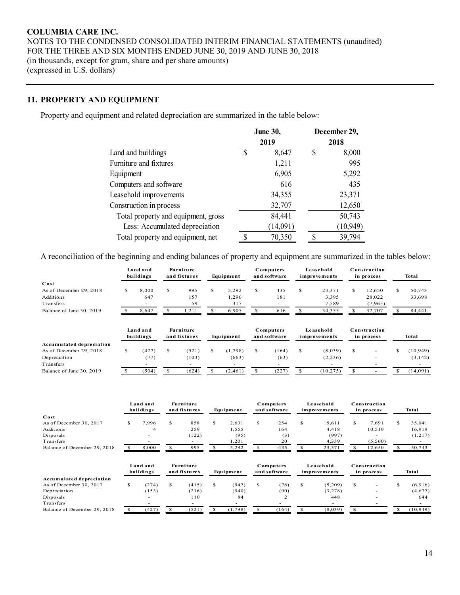# **11. PROPERTY AND EQUIPMENT**

Property and equipment and related depreciation are summarized in the table below:

|                                     |   | <b>June 30,</b><br>2019 |    | December 29,<br>2018 |  |  |
|-------------------------------------|---|-------------------------|----|----------------------|--|--|
| Land and buildings                  | S | 8,647                   | \$ | 8,000                |  |  |
| Furniture and fixtures              |   | 1,211                   |    | 995                  |  |  |
| Equipment                           |   | 6,905                   |    | 5,292                |  |  |
| Computers and software              |   | 616                     |    | 435                  |  |  |
| Leasehold improvements              |   | 34,355                  |    | 23,371               |  |  |
| Construction in process             |   | 32,707                  |    | 12,650               |  |  |
| Total property and equipment, gross |   | 84,441                  |    | 50,743               |  |  |
| Less: Accumulated depreciation      |   | (14,091)                |    | (10, 949)            |  |  |
| Total property and equipment, net   | Φ | 70,350                  | ¢  | 39,794               |  |  |

A reconciliation of the beginning and ending balances of property and equipment are summarized in the tables below:

|                              |               | Land and<br>buildings    |              | Furniture<br>and fixtures        |               | Equipment |    | Computers<br>and software |              | Leasehold<br>improvements |    | Construction<br>in process |              | <b>Total</b> |
|------------------------------|---------------|--------------------------|--------------|----------------------------------|---------------|-----------|----|---------------------------|--------------|---------------------------|----|----------------------------|--------------|--------------|
| Cost                         |               |                          |              |                                  |               |           |    |                           |              |                           |    |                            |              |              |
| As of December 29, 2018      | <sup>\$</sup> | 8,000                    | S.           | 995                              | \$            | 5,292     | S. | 435                       | \$           | 23,371                    | \$ | 12,650                     | \$           | 50,743       |
| Additions                    |               | 647                      |              | 157                              |               | 1,296     |    | 181                       |              | 3,395                     |    | 28,022                     |              | 33,698       |
| <b>Transfers</b>             |               |                          |              | 59                               |               | 317       |    |                           |              | 7,589                     |    | (7, 965)                   |              |              |
| Balance of June 30, 2019     | <sup>\$</sup> | 8,647                    | \$           | 1,211                            | \$            | 6,905     | S. | 616                       | $\mathbb{S}$ | 34,355                    | \$ | 32,707                     | <sup>S</sup> | 84,441       |
|                              |               | Land and<br>buildings    |              | Furniture<br>and fixtures        |               | Equipment |    | Computers<br>and software |              | Leasehold<br>improvements |    | Construction<br>in process |              | <b>Total</b> |
| Accumulated depreciation     |               |                          |              |                                  |               |           |    |                           |              |                           |    |                            |              |              |
| As of December 29, 2018      | <sup>\$</sup> | (427)                    | \$           | (521)                            | S             | (1,798)   | S  | (164)                     | S            | (8,039)                   | S  |                            | \$           | (10, 949)    |
| Depreciation                 |               | (77)                     |              | (103)                            |               | (663)     |    | (63)                      |              | (2, 236)                  |    |                            |              | (3, 142)     |
| Transfers                    |               | $\overline{\phantom{a}}$ |              | $\overline{\phantom{a}}$         |               |           |    | ٠                         |              |                           |    |                            |              | $\sim$       |
| Balance of June 30, 2019     | $\mathbb{S}$  | (504)                    | \$           | (624)                            | <sup>\$</sup> | (2, 461)  | S. | (227)                     | \$           | (10, 275)                 | \$ | $\sim$                     | S            | (14,091)     |
|                              |               | Land and<br>buildings    |              | <b>Furniture</b><br>and fixtures |               | Equipment |    | Computers<br>and software |              | Leasehold<br>improvements |    | Construction<br>in process |              | <b>Total</b> |
| Cost                         |               |                          |              |                                  |               |           |    |                           |              |                           |    |                            |              |              |
| As of December 30, 2017      | \$            | 7,996                    | \$           | 858                              | S.            | 2,631     | S  | 254                       | \$           | 15.611                    | S  | 7,691                      | \$           | 35,041       |
| Additions                    |               | $\overline{4}$           |              | 259                              |               | 1,555     |    | 164                       |              | 4,418                     |    | 10,519                     |              | 16,919       |
| Disposals                    |               |                          |              | (122)                            |               | (95)      |    | (3)                       |              | (997)                     |    |                            |              | (1,217)      |
| Transfers                    |               |                          |              | $\overline{a}$                   |               | 1,201     |    | 20                        |              | 4,339                     |    | (5,560)                    |              |              |
| Balance of December 29, 2018 | \$            | 8.000                    | $\mathbf{s}$ | 995                              | <sup>\$</sup> | 5,292     | \$ | 435                       | \$           | 23,371                    | S  | 12,650                     | \$           | 50,743       |
|                              |               | Land and<br>buildings    |              | <b>Furniture</b><br>and fixtures |               | Equipment |    | Computers<br>and software |              | Leasehold<br>improvements |    | Construction<br>in process |              | <b>Total</b> |
| Accumulated depreciation     |               |                          |              |                                  |               |           |    |                           |              |                           |    |                            |              |              |
| As of December 30, 2017      | S             | (274)                    | \$           | (415)                            | \$            | (942)     | Ŝ. | (76)                      | \$           | (5,209)                   | \$ |                            | $\mathbf S$  | (6,916)      |
| Depreciation                 |               | (153)                    |              | (216)                            |               | (940)     |    | (90)                      |              | (3,278)                   |    |                            |              | (4,677)      |
| Disposals                    |               |                          |              | 110                              |               | 84        |    | 2                         |              | 448                       |    |                            |              | 644          |
| Transfers                    |               |                          |              |                                  |               |           |    |                           |              |                           |    |                            |              |              |
| Balance of December 29, 2018 | \$            | (427)                    | $\mathbb{S}$ | (521)                            | S             | (1,798)   | S  | (164)                     | \$           | (8,039)                   | S  |                            | \$           | (10, 949)    |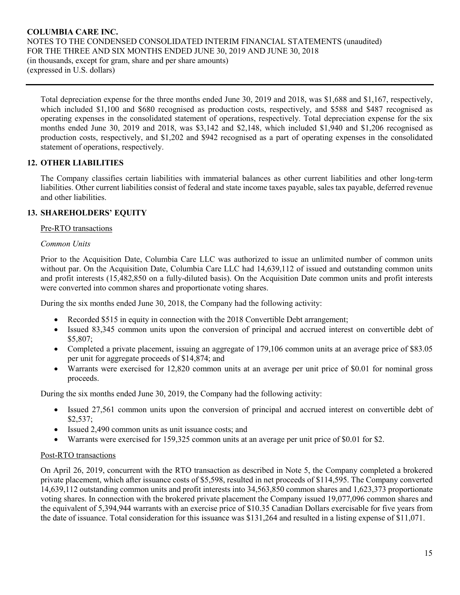Total depreciation expense for the three months ended June 30, 2019 and 2018, was \$1,688 and \$1,167, respectively, which included \$1,100 and \$680 recognised as production costs, respectively, and \$588 and \$487 recognised as operating expenses in the consolidated statement of operations, respectively. Total depreciation expense for the six months ended June 30, 2019 and 2018, was \$3,142 and \$2,148, which included \$1,940 and \$1,206 recognised as production costs, respectively, and \$1,202 and \$942 recognised as a part of operating expenses in the consolidated statement of operations, respectively.

# **12. OTHER LIABILITIES**

The Company classifies certain liabilities with immaterial balances as other current liabilities and other long-term liabilities. Other current liabilities consist of federal and state income taxes payable, sales tax payable, deferred revenue and other liabilities.

# **13. SHAREHOLDERS' EQUITY**

#### Pre-RTO transactions

#### *Common Units*

Prior to the Acquisition Date, Columbia Care LLC was authorized to issue an unlimited number of common units without par. On the Acquisition Date, Columbia Care LLC had 14,639,112 of issued and outstanding common units and profit interests (15,482,850 on a fully-diluted basis). On the Acquisition Date common units and profit interests were converted into common shares and proportionate voting shares.

During the six months ended June 30, 2018, the Company had the following activity:

- Recorded \$515 in equity in connection with the 2018 Convertible Debt arrangement;
- Issued 83,345 common units upon the conversion of principal and accrued interest on convertible debt of \$5,807;
- Completed a private placement, issuing an aggregate of 179,106 common units at an average price of \$83.05 per unit for aggregate proceeds of \$14,874; and
- Warrants were exercised for 12,820 common units at an average per unit price of \$0.01 for nominal gross proceeds.

During the six months ended June 30, 2019, the Company had the following activity:

- Issued 27,561 common units upon the conversion of principal and accrued interest on convertible debt of \$2,537;
- Issued 2,490 common units as unit issuance costs; and
- Warrants were exercised for 159,325 common units at an average per unit price of \$0.01 for \$2.

# Post-RTO transactions

On April 26, 2019, concurrent with the RTO transaction as described in Note 5, the Company completed a brokered private placement, which after issuance costs of \$5,598, resulted in net proceeds of \$114,595. The Company converted 14,639,112 outstanding common units and profit interests into 34,563,850 common shares and 1,623,373 proportionate voting shares. In connection with the brokered private placement the Company issued 19,077,096 common shares and the equivalent of 5,394,944 warrants with an exercise price of \$10.35 Canadian Dollars exercisable for five years from the date of issuance. Total consideration for this issuance was \$131,264 and resulted in a listing expense of \$11,071.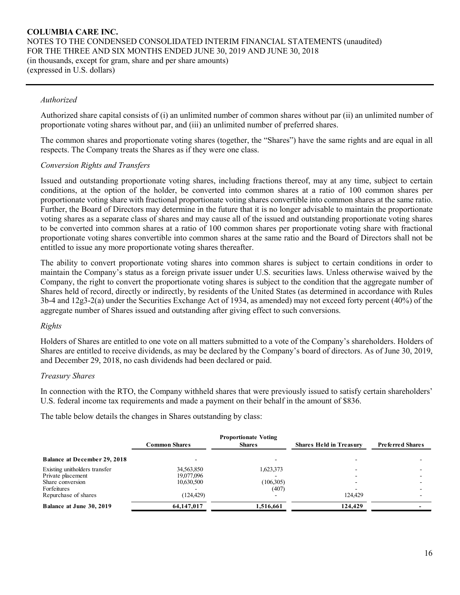#### *Authorized*

Authorized share capital consists of (i) an unlimited number of common shares without par (ii) an unlimited number of proportionate voting shares without par, and (iii) an unlimited number of preferred shares.

The common shares and proportionate voting shares (together, the "Shares") have the same rights and are equal in all respects. The Company treats the Shares as if they were one class.

#### *Conversion Rights and Transfers*

Issued and outstanding proportionate voting shares, including fractions thereof, may at any time, subject to certain conditions, at the option of the holder, be converted into common shares at a ratio of 100 common shares per proportionate voting share with fractional proportionate voting shares convertible into common shares at the same ratio. Further, the Board of Directors may determine in the future that it is no longer advisable to maintain the proportionate voting shares as a separate class of shares and may cause all of the issued and outstanding proportionate voting shares to be converted into common shares at a ratio of 100 common shares per proportionate voting share with fractional proportionate voting shares convertible into common shares at the same ratio and the Board of Directors shall not be entitled to issue any more proportionate voting shares thereafter.

The ability to convert proportionate voting shares into common shares is subject to certain conditions in order to maintain the Company's status as a foreign private issuer under U.S. securities laws. Unless otherwise waived by the Company, the right to convert the proportionate voting shares is subject to the condition that the aggregate number of Shares held of record, directly or indirectly, by residents of the United States (as determined in accordance with Rules 3b-4 and 12g3-2(a) under the Securities Exchange Act of 1934, as amended) may not exceed forty percent (40%) of the aggregate number of Shares issued and outstanding after giving effect to such conversions.

#### *Rights*

Holders of Shares are entitled to one vote on all matters submitted to a vote of the Company's shareholders. Holders of Shares are entitled to receive dividends, as may be declared by the Company's board of directors. As of June 30, 2019, and December 29, 2018, no cash dividends had been declared or paid.

#### *Treasury Shares*

In connection with the RTO, the Company withheld shares that were previously issued to satisfy certain shareholders' U.S. federal income tax requirements and made a payment on their behalf in the amount of \$836.

The table below details the changes in Shares outstanding by class:

| <b>Proportionate Voting</b>         |               |               |                                |                         |  |  |  |  |  |
|-------------------------------------|---------------|---------------|--------------------------------|-------------------------|--|--|--|--|--|
|                                     | Common Shares | <b>Shares</b> | <b>Shares Held in Treasury</b> | <b>Preferred Shares</b> |  |  |  |  |  |
| <b>Balance at December 29, 2018</b> |               |               | -                              |                         |  |  |  |  |  |
| Existing unitholders transfer       | 34,563,850    | 1,623,373     |                                |                         |  |  |  |  |  |
| Private placement                   | 19,077,096    |               | -                              |                         |  |  |  |  |  |
| Share conversion                    | 10,630,500    | (106,305)     |                                |                         |  |  |  |  |  |
| Forfeitures                         |               | (407)         |                                |                         |  |  |  |  |  |
| Repurchase of shares                | (124, 429)    |               | 124.429                        |                         |  |  |  |  |  |
| <b>Balance at June 30, 2019</b>     | 64,147,017    | 1,516,661     | 124,429                        |                         |  |  |  |  |  |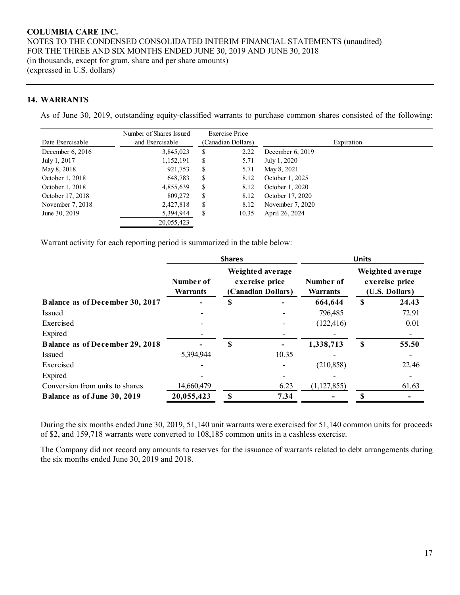#### **14. WARRANTS**

As of June 30, 2019, outstanding equity-classified warrants to purchase common shares consisted of the following:

|                  | Number of Shares Issued |                    | Exercise Price |                    |  |
|------------------|-------------------------|--------------------|----------------|--------------------|--|
| Date Exercisable | and Exercisable         | (Canadian Dollars) |                | Expiration         |  |
| December 6, 2016 | 3,845,023               | S                  | 2.22           | December $6, 2019$ |  |
| July 1, 2017     | 1,152,191               | S                  | 5.71           | July 1, 2020       |  |
| May 8, 2018      | 921,753                 | \$                 | 5.71           | May 8, 2021        |  |
| October 1, 2018  | 648,783                 | S                  | 8.12           | October 1, 2025    |  |
| October 1, 2018  | 4,855,639               | S                  | 8.12           | October 1, 2020    |  |
| October 17, 2018 | 809,272                 | \$                 | 8.12           | October 17, 2020   |  |
| November 7, 2018 | 2,427,818               | S                  | 8.12           | November 7, 2020   |  |
| June 30, 2019    | 5,394,944               | \$                 | 10.35          | April 26, 2024     |  |
|                  | 20,055,423              |                    |                |                    |  |

Warrant activity for each reporting period is summarized in the table below:

|                                        | <b>Shares</b>                |   |                                                          | <b>Units</b>                 |                                                      |       |  |
|----------------------------------------|------------------------------|---|----------------------------------------------------------|------------------------------|------------------------------------------------------|-------|--|
|                                        | Number of<br><b>Warrants</b> |   | Weighted average<br>exercise price<br>(Canadian Dollars) | Number of<br><b>Warrants</b> | Weighted average<br>exercise price<br>(U.S. Dollars) |       |  |
| <b>Balance as of December 30, 2017</b> |                              | S |                                                          | 664,644                      | \$                                                   | 24.43 |  |
| <b>Issued</b>                          |                              |   |                                                          | 796,485                      |                                                      | 72.91 |  |
| Exercised                              |                              |   |                                                          | (122, 416)                   |                                                      | 0.01  |  |
| Expired                                |                              |   |                                                          |                              |                                                      |       |  |
| <b>Balance as of December 29, 2018</b> |                              | S |                                                          | 1,338,713                    | \$                                                   | 55.50 |  |
| Issued                                 | 5,394,944                    |   | 10.35                                                    |                              |                                                      |       |  |
| Exercised                              |                              |   |                                                          | (210, 858)                   |                                                      | 22.46 |  |
| Expired                                |                              |   |                                                          |                              |                                                      |       |  |
| Conversion from units to shares        | 14,660,479                   |   | 6.23                                                     | (1, 127, 855)                |                                                      | 61.63 |  |
| Balance as of June 30, 2019            | 20,055,423                   | S | 7.34                                                     |                              |                                                      |       |  |

During the six months ended June 30, 2019, 51,140 unit warrants were exercised for 51,140 common units for proceeds of \$2, and 159,718 warrants were converted to 108,185 common units in a cashless exercise.

The Company did not record any amounts to reserves for the issuance of warrants related to debt arrangements during the six months ended June 30, 2019 and 2018.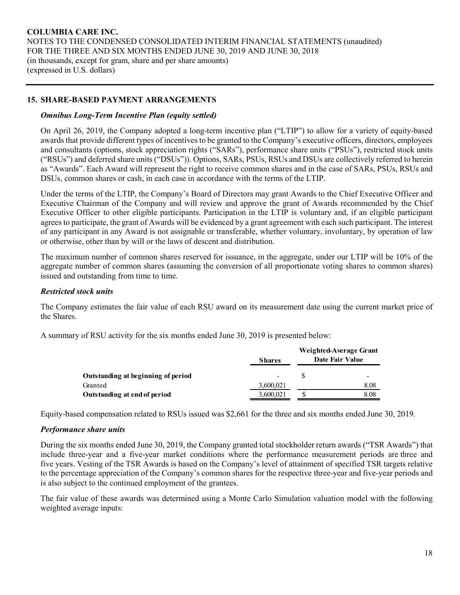# **15. SHARE-BASED PAYMENT ARRANGEMENTS**

#### *Omnibus Long-Term Incentive Plan (equity settled)*

On April 26, 2019, the Company adopted a long-term incentive plan ("LTIP") to allow for a variety of equity-based awards that provide different types of incentives to be granted to the Company's executive officers, directors, employees and consultants (options, stock appreciation rights ("SARs"), performance share units ("PSUs"), restricted stock units ("RSUs") and deferred share units ("DSUs")). Options, SARs, PSUs, RSUs and DSUs are collectively referred to herein as "Awards". Each Award will represent the right to receive common shares and in the case of SARs, PSUs, RSUs and DSUs, common shares or cash, in each case in accordance with the terms of the LTIP.

Under the terms of the LTIP, the Company's Board of Directors may grant Awards to the Chief Executive Officer and Executive Chairman of the Company and will review and approve the grant of Awards recommended by the Chief Executive Officer to other eligible participants. Participation in the LTIP is voluntary and, if an eligible participant agrees to participate, the grant of Awards will be evidenced by a grant agreement with each such participant. The interest of any participant in any Award is not assignable or transferable, whether voluntary, involuntary, by operation of law or otherwise, other than by will or the laws of descent and distribution.

The maximum number of common shares reserved for issuance, in the aggregate, under our LTIP will be 10% of the aggregate number of common shares (assuming the conversion of all proportionate voting shares to common shares) issued and outstanding from time to time.

# *Restricted stock units*

The Company estimates the fair value of each RSU award on its measurement date using the current market price of the Shares.

A summary of RSU activity for the six months ended June 30, 2019 is presented below:

|                                    | <b>Shares</b> | Weighted-Average Grant<br>Date Fair Value |      |  |
|------------------------------------|---------------|-------------------------------------------|------|--|
| Outstanding at beginning of period |               |                                           | -    |  |
| Granted                            | 3,600,021     |                                           | 8.08 |  |
| Outstanding at end of period       | 3,600,021     |                                           | 8.08 |  |

Equity-based compensation related to RSUs issued was \$2,661 for the three and six months ended June 30, 2019.

#### *Performance share units*

During the six months ended June 30, 2019, the Company granted total stockholder return awards ("TSR Awards") that include three-year and a five-year market conditions where the performance measurement periods are three and five years. Vesting of the TSR Awards is based on the Company's level of attainment of specified TSR targets relative to the percentage appreciation of the Company's common shares for the respective three-year and five-year periods and is also subject to the continued employment of the grantees.

The fair value of these awards was determined using a Monte Carlo Simulation valuation model with the following weighted average inputs: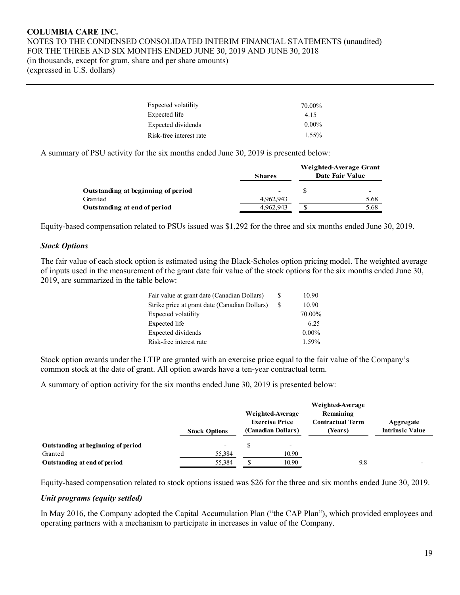(expressed in U.S. dollars)

| Expected volatility     | 70.00%   |
|-------------------------|----------|
| Expected life           | 4.15     |
| Expected dividends      | $0.00\%$ |
| Risk-free interest rate | $1.55\%$ |

A summary of PSU activity for the six months ended June 30, 2019 is presented below:

|                                    | <b>Shares</b> | Weighted-Average Grant<br>Date Fair Value |
|------------------------------------|---------------|-------------------------------------------|
| Outstanding at beginning of period | -             |                                           |
| Granted                            | 4.962.943     | 5.68                                      |
| Outstanding at end of period       | 4,962,943     | 5.68                                      |

Equity-based compensation related to PSUs issued was \$1,292 for the three and six months ended June 30, 2019.

# *Stock Options*

The fair value of each stock option is estimated using the Black-Scholes option pricing model. The weighted average of inputs used in the measurement of the grant date fair value of the stock options for the six months ended June 30, 2019, are summarized in the table below:

| Fair value at grant date (Canadian Dollars)   | S. | 10.90    |
|-----------------------------------------------|----|----------|
| Strike price at grant date (Canadian Dollars) | S. | 10.90    |
| Expected volatility                           |    | 70.00%   |
| Expected life                                 |    | 6.25     |
| Expected dividends                            |    | $0.00\%$ |
| Risk-free interest rate                       |    | 1.59%    |

Stock option awards under the LTIP are granted with an exercise price equal to the fair value of the Company's common stock at the date of grant. All option awards have a ten-year contractual term.

A summary of option activity for the six months ended June 30, 2019 is presented below:

|                                    | <b>Stock Options</b>     | Weighted-Average<br><b>Exercise Price</b><br>(Canadian Dollars) | Weighted-Average<br>Remaining<br>Contractual Term<br>(Years) | Aggregate<br><b>Intrinsic Value</b> |
|------------------------------------|--------------------------|-----------------------------------------------------------------|--------------------------------------------------------------|-------------------------------------|
| Outstanding at beginning of period | $\overline{\phantom{0}}$ | $\overline{\phantom{0}}$                                        |                                                              |                                     |
| Granted                            | 55,384                   | 10.90                                                           |                                                              |                                     |
| Outstanding at end of period       | 55,384                   | 10.90                                                           | 9.8                                                          |                                     |

Equity-based compensation related to stock options issued was \$26 for the three and six months ended June 30, 2019.

#### *Unit programs (equity settled)*

In May 2016, the Company adopted the Capital Accumulation Plan ("the CAP Plan"), which provided employees and operating partners with a mechanism to participate in increases in value of the Company.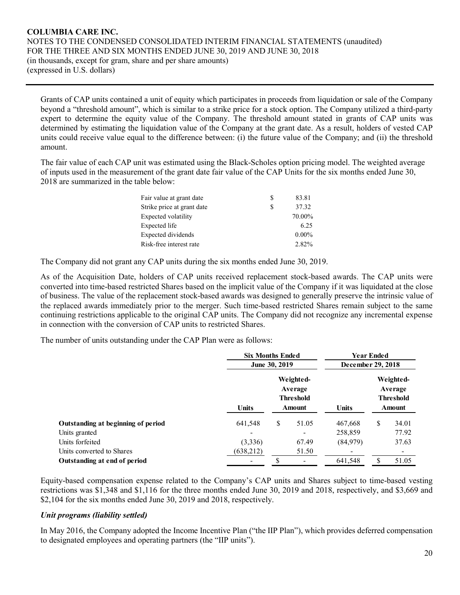Grants of CAP units contained a unit of equity which participates in proceeds from liquidation or sale of the Company beyond a "threshold amount", which is similar to a strike price for a stock option. The Company utilized a third-party expert to determine the equity value of the Company. The threshold amount stated in grants of CAP units was determined by estimating the liquidation value of the Company at the grant date. As a result, holders of vested CAP units could receive value equal to the difference between: (i) the future value of the Company; and (ii) the threshold amount.

The fair value of each CAP unit was estimated using the Black-Scholes option pricing model. The weighted average of inputs used in the measurement of the grant date fair value of the CAP Units for the six months ended June 30, 2018 are summarized in the table below:

| S | 83.81    |
|---|----------|
| S | 37.32    |
|   | 70.00%   |
|   | 6.25     |
|   | $0.00\%$ |
|   | 2.82%    |
|   |          |

The Company did not grant any CAP units during the six months ended June 30, 2019.

As of the Acquisition Date, holders of CAP units received replacement stock-based awards. The CAP units were converted into time-based restricted Shares based on the implicit value of the Company if it was liquidated at the close of business. The value of the replacement stock-based awards was designed to generally preserve the intrinsic value of the replaced awards immediately prior to the merger. Such time-based restricted Shares remain subject to the same continuing restrictions applicable to the original CAP units. The Company did not recognize any incremental expense in connection with the conversion of CAP units to restricted Shares.

The number of units outstanding under the CAP Plan were as follows:

|                                    | <b>Six Months Ended</b>  | <b>Year Ended</b><br>December 29, 2018                    |       |              |                                                           |       |
|------------------------------------|--------------------------|-----------------------------------------------------------|-------|--------------|-----------------------------------------------------------|-------|
|                                    | June 30, 2019            |                                                           |       |              |                                                           |       |
|                                    | <b>Units</b>             | Weighted-<br>Average<br><b>Threshold</b><br><b>Amount</b> |       | <b>Units</b> | Weighted-<br>Average<br><b>Threshold</b><br><b>Amount</b> |       |
| Outstanding at beginning of period | 641,548                  | \$                                                        | 51.05 | 467,668      | \$                                                        | 34.01 |
| Units granted                      |                          |                                                           |       | 258,859      |                                                           | 77.92 |
| Units forfeited                    | (3,336)                  |                                                           | 67.49 | (84,979)     |                                                           | 37.63 |
| Units converted to Shares          | (638, 212)               |                                                           | 51.50 |              |                                                           |       |
| Outstanding at end of period       | $\overline{\phantom{a}}$ |                                                           |       | 641,548      |                                                           | 51.05 |

Equity-based compensation expense related to the Company's CAP units and Shares subject to time-based vesting restrictions was \$1,348 and \$1,116 for the three months ended June 30, 2019 and 2018, respectively, and \$3,669 and \$2,104 for the six months ended June 30, 2019 and 2018, respectively.

# *Unit programs (liability settled)*

In May 2016, the Company adopted the Income Incentive Plan ("the IIP Plan"), which provides deferred compensation to designated employees and operating partners (the "IIP units").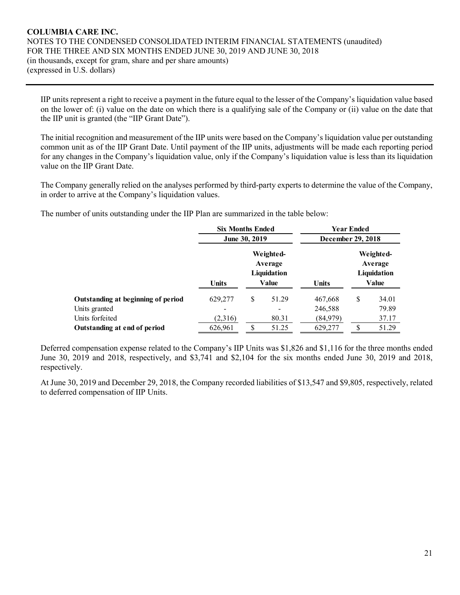IIP units represent a right to receive a payment in the future equal to the lesser of the Company's liquidation value based on the lower of: (i) value on the date on which there is a qualifying sale of the Company or (ii) value on the date that the IIP unit is granted (the "IIP Grant Date").

The initial recognition and measurement of the IIP units were based on the Company's liquidation value per outstanding common unit as of the IIP Grant Date. Until payment of the IIP units, adjustments will be made each reporting period for any changes in the Company's liquidation value, only if the Company's liquidation value is less than its liquidation value on the IIP Grant Date.

The Company generally relied on the analyses performed by third-party experts to determine the value of the Company, in order to arrive at the Company's liquidation values.

The number of units outstanding under the IIP Plan are summarized in the table below:

|                                    | <b>Six Months Ended</b> |                                              |              | Year Ended<br>December 29, 2018 |                                                     |  |  |  |  |
|------------------------------------|-------------------------|----------------------------------------------|--------------|---------------------------------|-----------------------------------------------------|--|--|--|--|
|                                    | <b>June 30, 2019</b>    |                                              |              |                                 |                                                     |  |  |  |  |
|                                    | <b>Units</b>            | Weighted-<br>Average<br>Liquidation<br>Value | <b>Units</b> |                                 | Weighted-<br>Average<br><b>Liquidation</b><br>Value |  |  |  |  |
| Outstanding at beginning of period | 629,277                 | \$<br>51.29                                  | 467,668      | S                               | 34.01                                               |  |  |  |  |
| Units granted                      |                         |                                              | 246,588      |                                 | 79.89                                               |  |  |  |  |
| Units forfeited                    | (2,316)                 | 80.31                                        | (84,979)     |                                 | 37.17                                               |  |  |  |  |
| Outstanding at end of period       | 626,961                 | \$<br>51.25                                  | 629,277      | S                               | 51.29                                               |  |  |  |  |

Deferred compensation expense related to the Company's IIP Units was \$1,826 and \$1,116 for the three months ended June 30, 2019 and 2018, respectively, and \$3,741 and \$2,104 for the six months ended June 30, 2019 and 2018, respectively.

At June 30, 2019 and December 29, 2018, the Company recorded liabilities of \$13,547 and \$9,805, respectively, related to deferred compensation of IIP Units.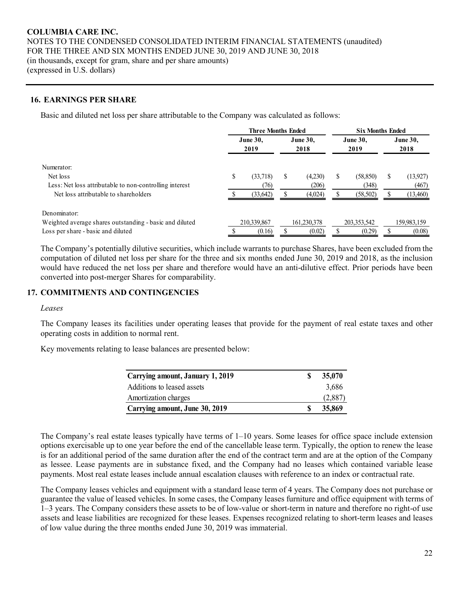#### **16. EARNINGS PER SHARE**

Basic and diluted net loss per share attributable to the Company was calculated as follows:

|                                                         |                 | <b>Three Months Ended</b> |        |                 | <b>Six Months Ended</b> |                 |      |                 |  |
|---------------------------------------------------------|-----------------|---------------------------|--------|-----------------|-------------------------|-----------------|------|-----------------|--|
|                                                         | <b>June 30,</b> |                           |        | <b>June 30.</b> |                         | <b>June 30.</b> |      | <b>June 30.</b> |  |
|                                                         |                 | 2019                      |        | 2018            |                         | 2019            | 2018 |                 |  |
| Numerator:                                              |                 |                           |        |                 |                         |                 |      |                 |  |
| Net loss                                                | S               | (33,718)                  | Ф      | (4,230)         | ъ                       | (58, 850)       | ъ.   | (13,927)        |  |
| Less: Net loss attributable to non-controlling interest |                 | (76)                      |        | (206)           |                         | (348)           |      | (467)           |  |
| Net loss attributable to shareholders                   |                 | (33, 642)                 |        | (4,024)         |                         | (58, 502)       |      | (13,460)        |  |
| Denominator:                                            |                 |                           |        |                 |                         |                 |      |                 |  |
| Weighted average shares outstanding - basic and diluted | 210,339,867     |                           |        | 161,230,378     |                         | 203, 353, 542   |      | 159,983,159     |  |
| Loss per share - basic and diluted                      |                 | (0.16)                    | (0.02) |                 |                         | (0.29)          |      | (0.08)          |  |

The Company's potentially dilutive securities, which include warrants to purchase Shares, have been excluded from the computation of diluted net loss per share for the three and six months ended June 30, 2019 and 2018, as the inclusion would have reduced the net loss per share and therefore would have an anti-dilutive effect. Prior periods have been converted into post-merger Shares for comparability.

#### **17. COMMITMENTS AND CONTINGENCIES**

#### *Leases*

The Company leases its facilities under operating leases that provide for the payment of real estate taxes and other operating costs in addition to normal rent.

Key movements relating to lease balances are presented below:

| Carrying amount, January 1, 2019 | 35,070  |
|----------------------------------|---------|
| Additions to leased assets       | 3,686   |
| Amortization charges             | (2,887) |
| Carrying amount, June 30, 2019   | 35,869  |

The Company's real estate leases typically have terms of 1–10 years. Some leases for office space include extension options exercisable up to one year before the end of the cancellable lease term. Typically, the option to renew the lease is for an additional period of the same duration after the end of the contract term and are at the option of the Company as lessee. Lease payments are in substance fixed, and the Company had no leases which contained variable lease payments. Most real estate leases include annual escalation clauses with reference to an index or contractual rate.

The Company leases vehicles and equipment with a standard lease term of 4 years. The Company does not purchase or guarantee the value of leased vehicles. In some cases, the Company leases furniture and office equipment with terms of 1–3 years. The Company considers these assets to be of low-value or short-term in nature and therefore no right-of use assets and lease liabilities are recognized for these leases. Expenses recognized relating to short-term leases and leases of low value during the three months ended June 30, 2019 was immaterial.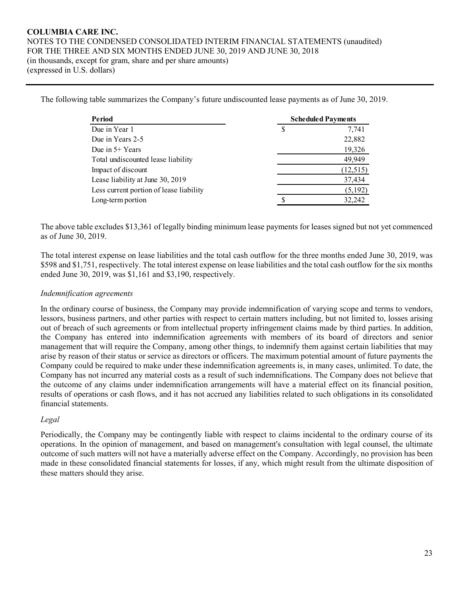The following table summarizes the Company's future undiscounted lease payments as of June 30, 2019.

| Period                                  | <b>Scheduled Payments</b> |
|-----------------------------------------|---------------------------|
| Due in Year 1                           | 7,741                     |
| Due in Years 2-5                        | 22,882                    |
| Due in $5+$ Years                       | 19,326                    |
| Total undiscounted lease liability      | 49,949                    |
| Impact of discount                      | (12, 515)                 |
| Lease liability at June 30, 2019        | 37,434                    |
| Less current portion of lease liability | (5,192)                   |
| Long-term portion                       | 32,242                    |

The above table excludes \$13,361 of legally binding minimum lease payments for leases signed but not yet commenced as of June 30, 2019.

The total interest expense on lease liabilities and the total cash outflow for the three months ended June 30, 2019, was \$598 and \$1,751, respectively. The total interest expense on lease liabilities and the total cash outflow for the six months ended June 30, 2019, was \$1,161 and \$3,190, respectively.

#### *Indemnification agreements*

In the ordinary course of business, the Company may provide indemnification of varying scope and terms to vendors, lessors, business partners, and other parties with respect to certain matters including, but not limited to, losses arising out of breach of such agreements or from intellectual property infringement claims made by third parties. In addition, the Company has entered into indemnification agreements with members of its board of directors and senior management that will require the Company, among other things, to indemnify them against certain liabilities that may arise by reason of their status or service as directors or officers. The maximum potential amount of future payments the Company could be required to make under these indemnification agreements is, in many cases, unlimited. To date, the Company has not incurred any material costs as a result of such indemnifications. The Company does not believe that the outcome of any claims under indemnification arrangements will have a material effect on its financial position, results of operations or cash flows, and it has not accrued any liabilities related to such obligations in its consolidated financial statements.

#### *Legal*

Periodically, the Company may be contingently liable with respect to claims incidental to the ordinary course of its operations. In the opinion of management, and based on management's consultation with legal counsel, the ultimate outcome of such matters will not have a materially adverse effect on the Company. Accordingly, no provision has been made in these consolidated financial statements for losses, if any, which might result from the ultimate disposition of these matters should they arise.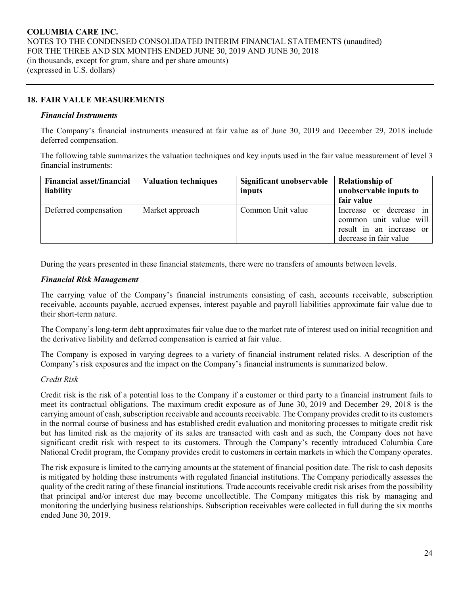# **18. FAIR VALUE MEASUREMENTS**

#### *Financial Instruments*

The Company's financial instruments measured at fair value as of June 30, 2019 and December 29, 2018 include deferred compensation.

The following table summarizes the valuation techniques and key inputs used in the fair value measurement of level 3 financial instruments:

| <b>Financial asset/financial</b><br>liability | <b>Valuation techniques</b> | Significant unobservable<br>inputs | <b>Relationship of</b><br>unobservable inputs to                                                        |
|-----------------------------------------------|-----------------------------|------------------------------------|---------------------------------------------------------------------------------------------------------|
|                                               |                             |                                    | fair value                                                                                              |
| Deferred compensation                         | Market approach             | Common Unit value                  | Increase or decrease in<br>common unit value will<br>result in an increase or<br>decrease in fair value |

During the years presented in these financial statements, there were no transfers of amounts between levels.

#### *Financial Risk Management*

The carrying value of the Company's financial instruments consisting of cash, accounts receivable, subscription receivable, accounts payable, accrued expenses, interest payable and payroll liabilities approximate fair value due to their short-term nature.

The Company's long-term debt approximates fair value due to the market rate of interest used on initial recognition and the derivative liability and deferred compensation is carried at fair value.

The Company is exposed in varying degrees to a variety of financial instrument related risks. A description of the Company's risk exposures and the impact on the Company's financial instruments is summarized below.

#### *Credit Risk*

Credit risk is the risk of a potential loss to the Company if a customer or third party to a financial instrument fails to meet its contractual obligations. The maximum credit exposure as of June 30, 2019 and December 29, 2018 is the carrying amount of cash, subscription receivable and accounts receivable. The Company provides credit to its customers in the normal course of business and has established credit evaluation and monitoring processes to mitigate credit risk but has limited risk as the majority of its sales are transacted with cash and as such, the Company does not have significant credit risk with respect to its customers. Through the Company's recently introduced Columbia Care National Credit program, the Company provides credit to customers in certain markets in which the Company operates.

The risk exposure is limited to the carrying amounts at the statement of financial position date. The risk to cash deposits is mitigated by holding these instruments with regulated financial institutions. The Company periodically assesses the quality of the credit rating of these financial institutions. Trade accounts receivable credit risk arises from the possibility that principal and/or interest due may become uncollectible. The Company mitigates this risk by managing and monitoring the underlying business relationships. Subscription receivables were collected in full during the six months ended June 30, 2019.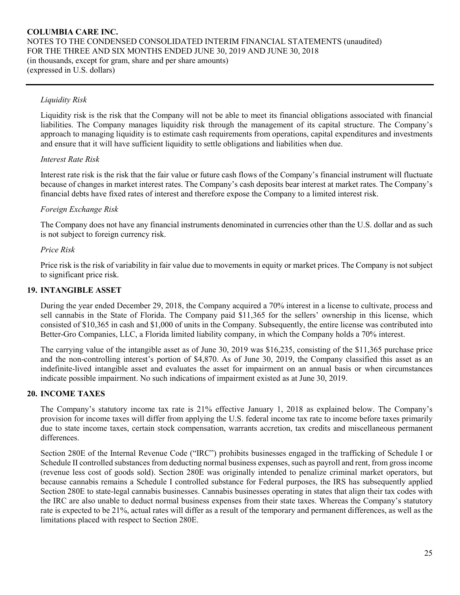# *Liquidity Risk*

Liquidity risk is the risk that the Company will not be able to meet its financial obligations associated with financial liabilities. The Company manages liquidity risk through the management of its capital structure. The Company's approach to managing liquidity is to estimate cash requirements from operations, capital expenditures and investments and ensure that it will have sufficient liquidity to settle obligations and liabilities when due.

# *Interest Rate Risk*

Interest rate risk is the risk that the fair value or future cash flows of the Company's financial instrument will fluctuate because of changes in market interest rates. The Company's cash deposits bear interest at market rates. The Company's financial debts have fixed rates of interest and therefore expose the Company to a limited interest risk.

# *Foreign Exchange Risk*

The Company does not have any financial instruments denominated in currencies other than the U.S. dollar and as such is not subject to foreign currency risk.

#### *Price Risk*

Price risk is the risk of variability in fair value due to movements in equity or market prices. The Company is not subject to significant price risk.

#### **19. INTANGIBLE ASSET**

During the year ended December 29, 2018, the Company acquired a 70% interest in a license to cultivate, process and sell cannabis in the State of Florida. The Company paid \$11,365 for the sellers' ownership in this license, which consisted of \$10,365 in cash and \$1,000 of units in the Company. Subsequently, the entire license was contributed into Better-Gro Companies, LLC, a Florida limited liability company, in which the Company holds a 70% interest.

The carrying value of the intangible asset as of June 30, 2019 was \$16,235, consisting of the \$11,365 purchase price and the non-controlling interest's portion of \$4,870. As of June 30, 2019, the Company classified this asset as an indefinite-lived intangible asset and evaluates the asset for impairment on an annual basis or when circumstances indicate possible impairment. No such indications of impairment existed as at June 30, 2019.

# **20. INCOME TAXES**

The Company's statutory income tax rate is 21% effective January 1, 2018 as explained below. The Company's provision for income taxes will differ from applying the U.S. federal income tax rate to income before taxes primarily due to state income taxes, certain stock compensation, warrants accretion, tax credits and miscellaneous permanent differences.

Section 280E of the Internal Revenue Code ("IRC") prohibits businesses engaged in the trafficking of Schedule I or Schedule II controlled substances from deducting normal business expenses, such as payroll and rent, from gross income (revenue less cost of goods sold). Section 280E was originally intended to penalize criminal market operators, but because cannabis remains a Schedule I controlled substance for Federal purposes, the IRS has subsequently applied Section 280E to state-legal cannabis businesses. Cannabis businesses operating in states that align their tax codes with the IRC are also unable to deduct normal business expenses from their state taxes. Whereas the Company's statutory rate is expected to be 21%, actual rates will differ as a result of the temporary and permanent differences, as well as the limitations placed with respect to Section 280E.